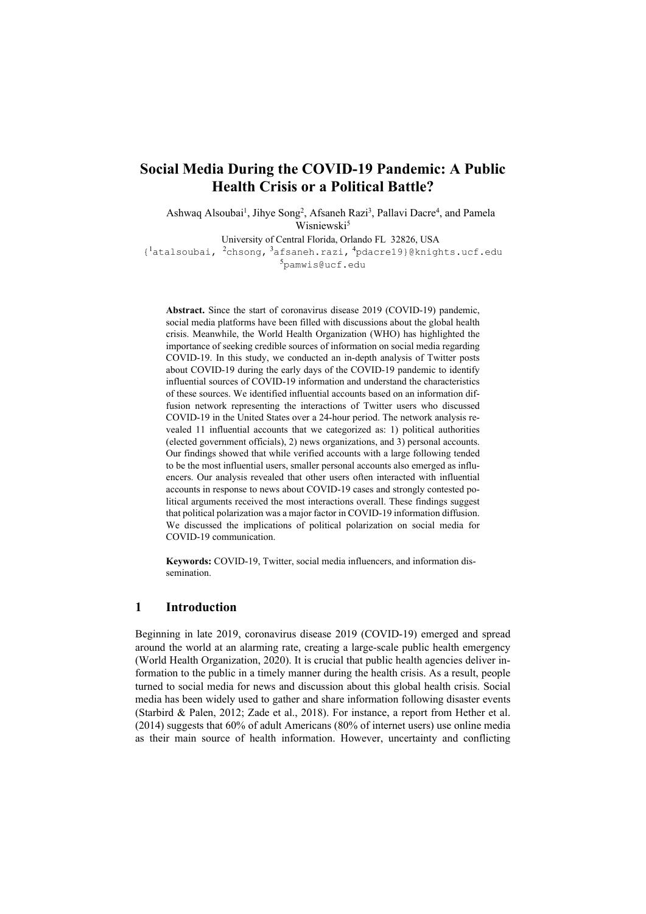# **Social Media During the COVID-19 Pandemic: A Public Health Crisis or a Political Battle?**

Ashwaq Alsoubai<sup>1</sup>, Jihye Song<sup>2</sup>, Afsaneh Razi<sup>3</sup>, Pallavi Dacre<sup>4</sup>, and Pamela Wisniewski<sup>5</sup>

University of Central Florida, Orlando FL 32826, USA {<sup>1</sup>atalsoubai, <sup>2</sup>chsong, <sup>3</sup>afsaneh.razi, <sup>4</sup>[pdacre19}@knights.ucf.edu](mailto:4pdacre19%7D@knights.ucf.edu)<br>5pamuis@ucf.edu pamwis@ucf.edu

**Abstract.** Since the start of coronavirus disease 2019 (COVID-19) pandemic, social media platforms have been filled with discussions about the global health crisis. Meanwhile, the World Health Organization (WHO) has highlighted the importance of seeking credible sources of information on social media regarding COVID-19. In this study, we conducted an in-depth analysis of Twitter posts about COVID-19 during the early days of the COVID-19 pandemic to identify influential sources of COVID-19 information and understand the characteristics of these sources. We identified influential accounts based on an information diffusion network representing the interactions of Twitter users who discussed COVID-19 in the United States over a 24-hour period. The network analysis revealed 11 influential accounts that we categorized as: 1) political authorities (elected government officials), 2) news organizations, and 3) personal accounts. Our findings showed that while verified accounts with a large following tended to be the most influential users, smaller personal accounts also emerged as influencers. Our analysis revealed that other users often interacted with influential accounts in response to news about COVID-19 cases and strongly contested political arguments received the most interactions overall. These findings suggest that political polarization was a major factor in COVID-19 information diffusion. We discussed the implications of political polarization on social media for COVID-19 communication.

**Keywords:** COVID-19, Twitter, social media influencers, and information dissemination.

## **1 Introduction**

Beginning in late 2019, coronavirus disease 2019 (COVID-19) emerged and spread around the world at an alarming rate, creating a large-scale public health emergency (World Health Organization, 2020). It is crucial that public health agencies deliver information to the public in a timely manner during the health crisis. As a result, people turned to social media for news and discussion about this global health crisis. Social media has been widely used to gather and share information following disaster events (Starbird & Palen, 2012; Zade et al., 2018). For instance, a report from Hether et al. (2014) suggests that 60% of adult Americans (80% of internet users) use online media as their main source of health information. However, uncertainty and conflicting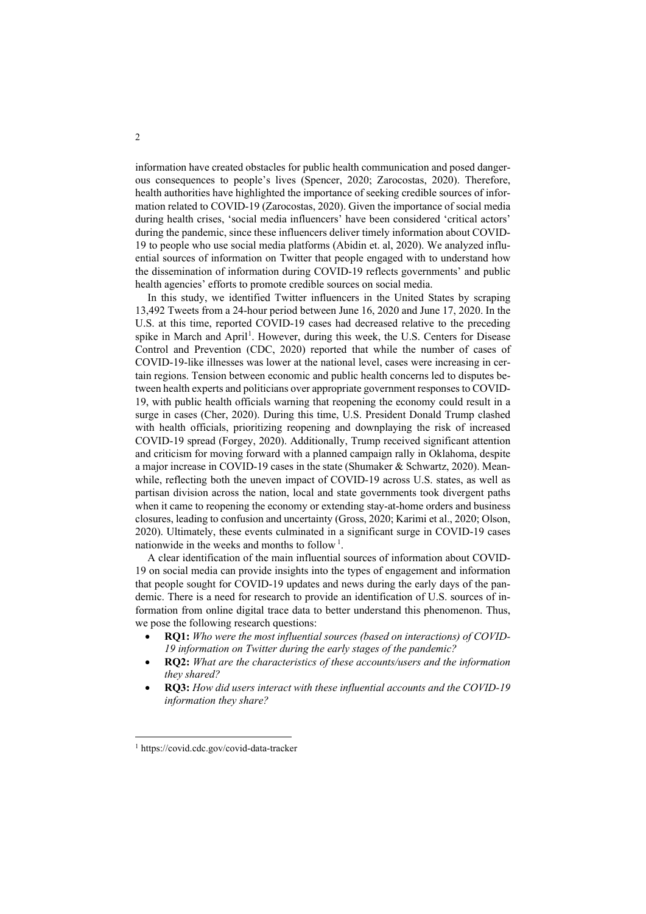information have created obstacles for public health communication and posed dangerous consequences to people's lives (Spencer, 2020; Zarocostas, 2020). Therefore, health authorities have highlighted the importance of seeking credible sources of information related to COVID-19 (Zarocostas, 2020). Given the importance of social media during health crises, 'social media influencers' have been considered 'critical actors' during the pandemic, since these influencers deliver timely information about COVID-19 to people who use social media platforms (Abidin et. al, 2020). We analyzed influential sources of information on Twitter that people engaged with to understand how the dissemination of information during COVID-19 reflects governments' and public health agencies' efforts to promote credible sources on social media.

In this study, we identified Twitter influencers in the United States by scraping 13,492 Tweets from a 24-hour period between June 16, 2020 and June 17, 2020. In the U.S. at this time, reported COVID-19 cases had decreased relative to the preceding spike in March and April<sup>[1](#page-1-0)</sup>. However, during this week, the U.S. Centers for Disease Control and Prevention (CDC, 2020) reported that while the number of cases of COVID-19-like illnesses was lower at the national level, cases were increasing in certain regions. Tension between economic and public health concerns led to disputes between health experts and politicians over appropriate government responses to COVID-19, with public health officials warning that reopening the economy could result in a surge in cases (Cher, 2020). During this time, U.S. President Donald Trump clashed with health officials, prioritizing reopening and downplaying the risk of increased COVID-19 spread (Forgey, 2020). Additionally, Trump received significant attention and criticism for moving forward with a planned campaign rally in Oklahoma, despite a major increase in COVID-19 cases in the state (Shumaker & Schwartz, 2020). Meanwhile, reflecting both the uneven impact of COVID-19 across U.S. states, as well as partisan division across the nation, local and state governments took divergent paths when it came to reopening the economy or extending stay-at-home orders and business closures, leading to confusion and uncertainty (Gross, 2020; Karimi et al., 2020; Olson, 2020). Ultimately, these events culminated in a significant surge in COVID-19 cases nationwide in the weeks and months to follow<sup>1</sup>.

A clear identification of the main influential sources of information about COVID-19 on social media can provide insights into the types of engagement and information that people sought for COVID-19 updates and news during the early days of the pandemic. There is a need for research to provide an identification of U.S. sources of information from online digital trace data to better understand this phenomenon. Thus, we pose the following research questions:

- **RQ1:** *Who were the most influential sources (based on interactions) of COVID-19 information on Twitter during the early stages of the pandemic?*
- **RQ2:** *What are the characteristics of these accounts/users and the information they shared?*
- **RQ3:** *How did users interact with these influential accounts and the COVID-19 information they share?*

<span id="page-1-0"></span><sup>1</sup> <https://covid.cdc.gov/covid-data-tracker>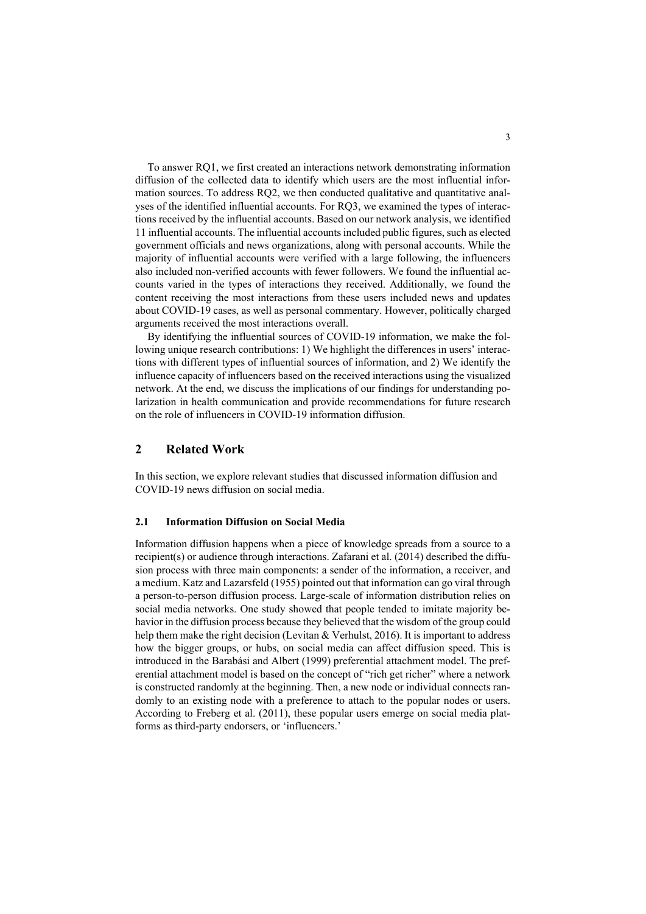To answer RQ1, we first created an interactions network demonstrating information diffusion of the collected data to identify which users are the most influential information sources. To address RQ2, we then conducted qualitative and quantitative analyses of the identified influential accounts. For RQ3, we examined the types of interactions received by the influential accounts. Based on our network analysis, we identified 11 influential accounts. The influential accounts included public figures, such as elected government officials and news organizations, along with personal accounts. While the majority of influential accounts were verified with a large following, the influencers also included non-verified accounts with fewer followers. We found the influential accounts varied in the types of interactions they received. Additionally, we found the content receiving the most interactions from these users included news and updates about COVID-19 cases, as well as personal commentary. However, politically charged arguments received the most interactions overall.

By identifying the influential sources of COVID-19 information, we make the following unique research contributions: 1) We highlight the differences in users' interactions with different types of influential sources of information, and 2) We identify the influence capacity of influencers based on the received interactions using the visualized network. At the end, we discuss the implications of our findings for understanding polarization in health communication and provide recommendations for future research on the role of influencers in COVID-19 information diffusion.

## **2 Related Work**

In this section, we explore relevant studies that discussed information diffusion and COVID-19 news diffusion on social media.

## **2.1 Information Diffusion on Social Media**

Information diffusion happens when a piece of knowledge spreads from a source to a recipient(s) or audience through interactions. Zafarani et al. (2014) described the diffusion process with three main components: a sender of the information, a receiver, and a medium. Katz and Lazarsfeld (1955) pointed out that information can go viral through a person-to-person diffusion process. Large-scale of information distribution relies on social media networks. One study showed that people tended to imitate majority behavior in the diffusion process because they believed that the wisdom of the group could help them make the right decision (Levitan & Verhulst, 2016). It is important to address how the bigger groups, or hubs, on social media can affect diffusion speed. This is introduced in the Barabási and Albert (1999) preferential attachment model. The preferential attachment model is based on the concept of "rich get richer" where a network is constructed randomly at the beginning. Then, a new node or individual connects randomly to an existing node with a preference to attach to the popular nodes or users. According to Freberg et al. (2011), these popular users emerge on social media platforms as third-party endorsers, or 'influencers.'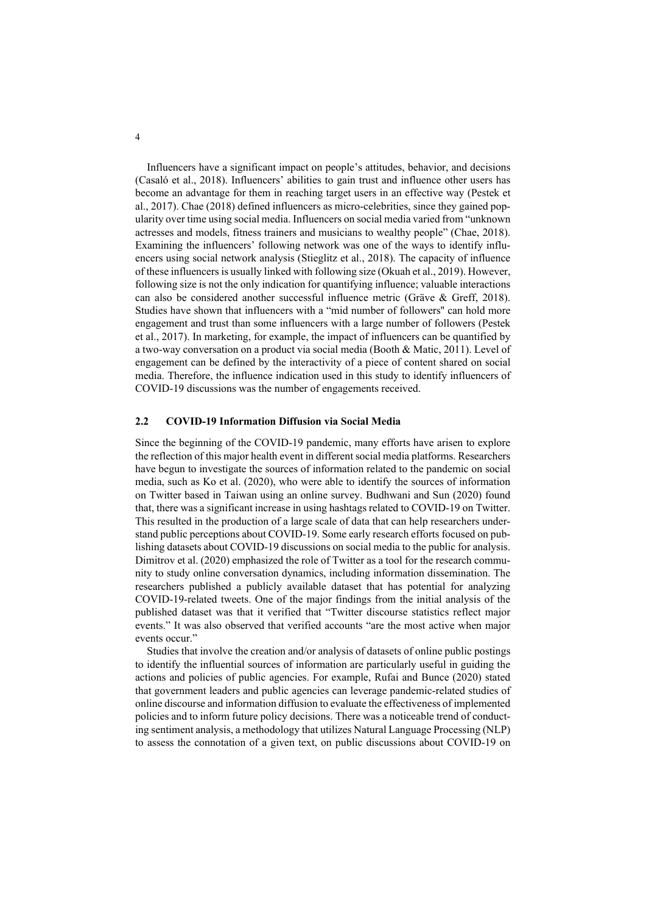Influencers have a significant impact on people's attitudes, behavior, and decisions (Casaló et al., 2018). Influencers' abilities to gain trust and influence other users has become an advantage for them in reaching target users in an effective way (Pestek et al., 2017). Chae (2018) defined influencers as micro-celebrities, since they gained popularity over time using social media. Influencers on social media varied from "unknown actresses and models, fitness trainers and musicians to wealthy people" (Chae, 2018). Examining the influencers' following network was one of the ways to identify influencers using social network analysis (Stieglitz et al., 2018). The capacity of influence of these influencers is usually linked with following size (Okuah et al., 2019). However, following size is not the only indication for quantifying influence; valuable interactions can also be considered another successful influence metric (Gräve & Greff, 2018). Studies have shown that influencers with a "mid number of followers'' can hold more engagement and trust than some influencers with a large number of followers (Pestek et al., 2017). In marketing, for example, the impact of influencers can be quantified by a two-way conversation on a product via social media (Booth & Matic, 2011). Level of engagement can be defined by the interactivity of a piece of content shared on social media. Therefore, the influence indication used in this study to identify influencers of COVID-19 discussions was the number of engagements received.

### **2.2 COVID-19 Information Diffusion via Social Media**

Since the beginning of the COVID-19 pandemic, many efforts have arisen to explore the reflection of this major health event in different social media platforms. Researchers have begun to investigate the sources of information related to the pandemic on social media, such as Ko et al. (2020), who were able to identify the sources of information on Twitter based in Taiwan using an online survey. Budhwani and Sun (2020) found that, there was a significant increase in using hashtags related to COVID-19 on Twitter. This resulted in the production of a large scale of data that can help researchers understand public perceptions about COVID-19. Some early research efforts focused on publishing datasets about COVID-19 discussions on social media to the public for analysis. Dimitrov et al. (2020) emphasized the role of Twitter as a tool for the research community to study online conversation dynamics, including information dissemination. The researchers published a publicly available dataset that has potential for analyzing COVID-19-related tweets. One of the major findings from the initial analysis of the published dataset was that it verified that "Twitter discourse statistics reflect major events." It was also observed that verified accounts "are the most active when major events occur."

Studies that involve the creation and/or analysis of datasets of online public postings to identify the influential sources of information are particularly useful in guiding the actions and policies of public agencies. For example, Rufai and Bunce (2020) stated that government leaders and public agencies can leverage pandemic-related studies of online discourse and information diffusion to evaluate the effectiveness of implemented policies and to inform future policy decisions. There was a noticeable trend of conducting sentiment analysis, a methodology that utilizes Natural Language Processing (NLP) to assess the connotation of a given text, on public discussions about COVID-19 on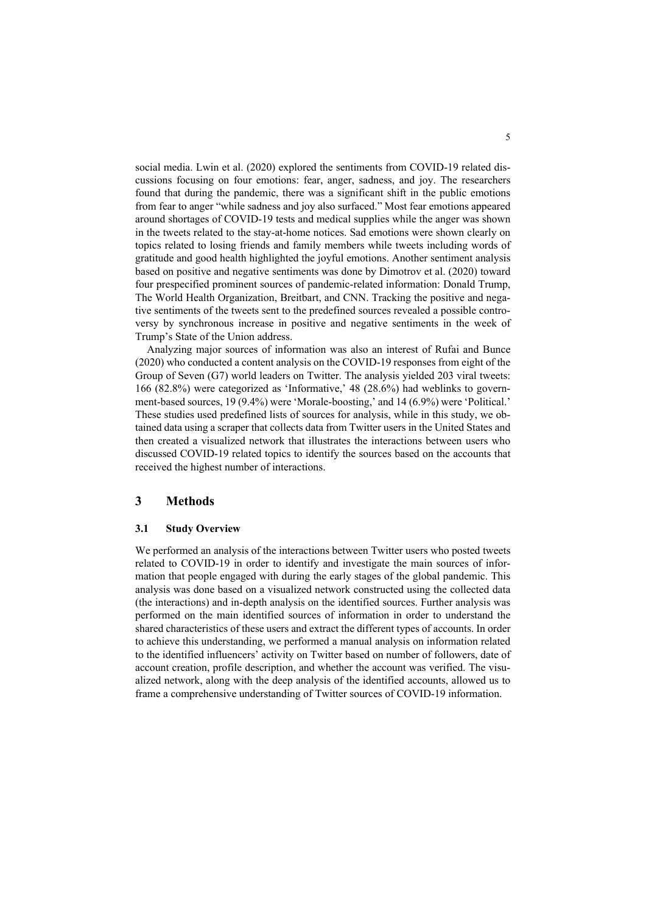social media. Lwin et al. (2020) explored the sentiments from COVID-19 related discussions focusing on four emotions: fear, anger, sadness, and joy. The researchers found that during the pandemic, there was a significant shift in the public emotions from fear to anger "while sadness and joy also surfaced." Most fear emotions appeared around shortages of COVID-19 tests and medical supplies while the anger was shown in the tweets related to the stay-at-home notices. Sad emotions were shown clearly on topics related to losing friends and family members while tweets including words of gratitude and good health highlighted the joyful emotions. Another sentiment analysis based on positive and negative sentiments was done by Dimotrov et al. (2020) toward four prespecified prominent sources of pandemic-related information: Donald Trump, The World Health Organization, Breitbart, and CNN. Tracking the positive and negative sentiments of the tweets sent to the predefined sources revealed a possible controversy by synchronous increase in positive and negative sentiments in the week of Trump's State of the Union address.

Analyzing major sources of information was also an interest of Rufai and Bunce (2020) who conducted a content analysis on the COVID-19 responses from eight of the Group of Seven (G7) world leaders on Twitter. The analysis yielded 203 viral tweets: 166 (82.8%) were categorized as 'Informative,' 48 (28.6%) had weblinks to government-based sources, 19 (9.4%) were 'Morale-boosting,' and 14 (6.9%) were 'Political.' These studies used predefined lists of sources for analysis, while in this study, we obtained data using a scraper that collects data from Twitter users in the United States and then created a visualized network that illustrates the interactions between users who discussed COVID-19 related topics to identify the sources based on the accounts that received the highest number of interactions.

## **3 Methods**

### **3.1 Study Overview**

We performed an analysis of the interactions between Twitter users who posted tweets related to COVID-19 in order to identify and investigate the main sources of information that people engaged with during the early stages of the global pandemic. This analysis was done based on a visualized network constructed using the collected data (the interactions) and in-depth analysis on the identified sources. Further analysis was performed on the main identified sources of information in order to understand the shared characteristics of these users and extract the different types of accounts. In order to achieve this understanding, we performed a manual analysis on information related to the identified influencers' activity on Twitter based on number of followers, date of account creation, profile description, and whether the account was verified. The visualized network, along with the deep analysis of the identified accounts, allowed us to frame a comprehensive understanding of Twitter sources of COVID-19 information.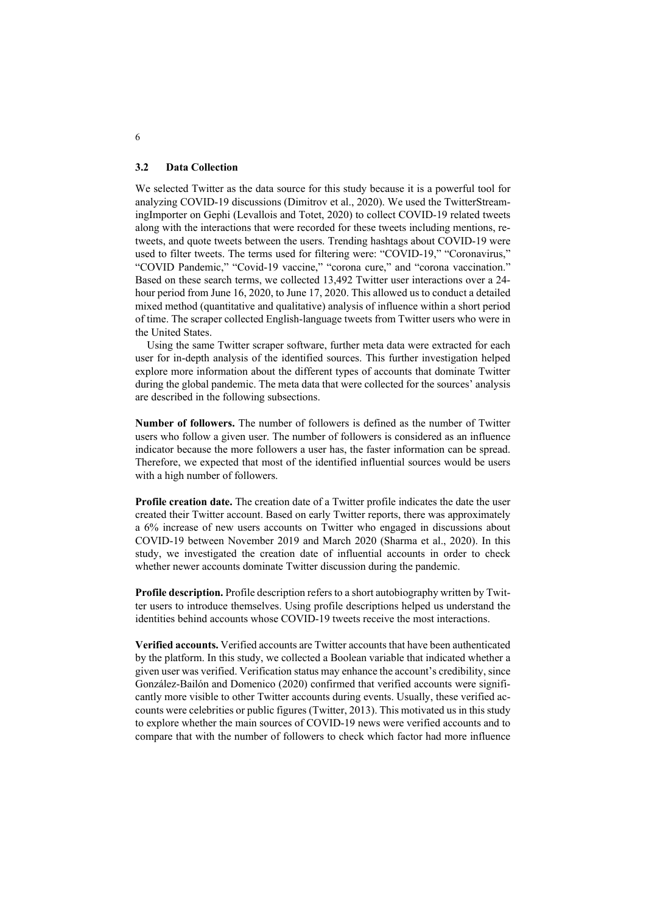#### **3.2 Data Collection**

We selected Twitter as the data source for this study because it is a powerful tool for analyzing COVID-19 discussions (Dimitrov et al., 2020). We used the TwitterStreamingImporter on Gephi (Levallois and Totet, 2020) to collect COVID-19 related tweets along with the interactions that were recorded for these tweets including mentions, retweets, and quote tweets between the users. Trending hashtags about COVID-19 were used to filter tweets. The terms used for filtering were: "COVID-19," "Coronavirus," "COVID Pandemic," "Covid-19 vaccine," "corona cure," and "corona vaccination." Based on these search terms, we collected 13,492 Twitter user interactions over a 24 hour period from June 16, 2020, to June 17, 2020. This allowed us to conduct a detailed mixed method (quantitative and qualitative) analysis of influence within a short period of time. The scraper collected English-language tweets from Twitter users who were in the United States.

Using the same Twitter scraper software, further meta data were extracted for each user for in-depth analysis of the identified sources. This further investigation helped explore more information about the different types of accounts that dominate Twitter during the global pandemic. The meta data that were collected for the sources' analysis are described in the following subsections.

**Number of followers.** The number of followers is defined as the number of Twitter users who follow a given user. The number of followers is considered as an influence indicator because the more followers a user has, the faster information can be spread. Therefore, we expected that most of the identified influential sources would be users with a high number of followers.

**Profile creation date.** The creation date of a Twitter profile indicates the date the user created their Twitter account. Based on early Twitter reports, there was approximately a 6% increase of new users accounts on Twitter who engaged in discussions about COVID-19 between November 2019 and March 2020 (Sharma et al., 2020). In this study, we investigated the creation date of influential accounts in order to check whether newer accounts dominate Twitter discussion during the pandemic.

**Profile description.** Profile description refers to a short autobiography written by Twitter users to introduce themselves. Using profile descriptions helped us understand the identities behind accounts whose COVID-19 tweets receive the most interactions.

**Verified accounts.** Verified accounts are Twitter accounts that have been authenticated by the platform. In this study, we collected a Boolean variable that indicated whether a given user was verified. Verification status may enhance the account's credibility, since González-Bailón and Domenico (2020) confirmed that verified accounts were significantly more visible to other Twitter accounts during events. Usually, these verified accounts were celebrities or public figures (Twitter, 2013). This motivated us in this study to explore whether the main sources of COVID-19 news were verified accounts and to compare that with the number of followers to check which factor had more influence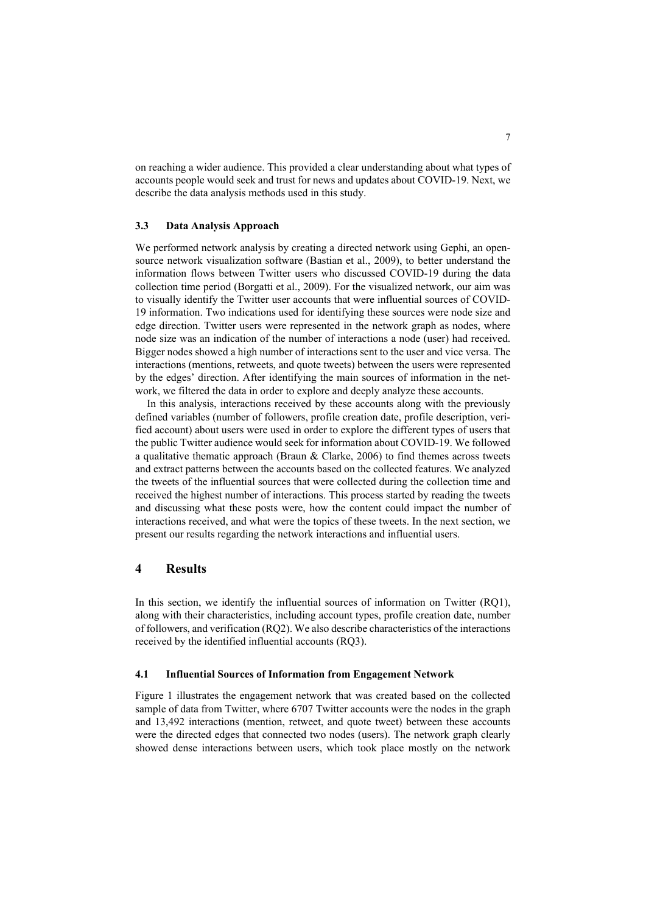on reaching a wider audience. This provided a clear understanding about what types of accounts people would seek and trust for news and updates about COVID-19. Next, we describe the data analysis methods used in this study.

#### **3.3 Data Analysis Approach**

We performed network analysis by creating a directed network using Gephi, an opensource network visualization software (Bastian et al., 2009), to better understand the information flows between Twitter users who discussed COVID-19 during the data collection time period (Borgatti et al., 2009). For the visualized network, our aim was to visually identify the Twitter user accounts that were influential sources of COVID-19 information. Two indications used for identifying these sources were node size and edge direction. Twitter users were represented in the network graph as nodes, where node size was an indication of the number of interactions a node (user) had received. Bigger nodes showed a high number of interactions sent to the user and vice versa. The interactions (mentions, retweets, and quote tweets) between the users were represented by the edges' direction. After identifying the main sources of information in the network, we filtered the data in order to explore and deeply analyze these accounts.

In this analysis, interactions received by these accounts along with the previously defined variables (number of followers, profile creation date, profile description, verified account) about users were used in order to explore the different types of users that the public Twitter audience would seek for information about COVID-19. We followed a qualitative thematic approach (Braun & Clarke, 2006) to find themes across tweets and extract patterns between the accounts based on the collected features. We analyzed the tweets of the influential sources that were collected during the collection time and received the highest number of interactions. This process started by reading the tweets and discussing what these posts were, how the content could impact the number of interactions received, and what were the topics of these tweets. In the next section, we present our results regarding the network interactions and influential users.

## **4 Results**

In this section, we identify the influential sources of information on Twitter (RQ1), along with their characteristics, including account types, profile creation date, number of followers, and verification (RQ2). We also describe characteristics of the interactions received by the identified influential accounts (RQ3).

## **4.1 Influential Sources of Information from Engagement Network**

[Figure 1](#page-7-0) illustrates the engagement network that was created based on the collected sample of data from Twitter, where 6707 Twitter accounts were the nodes in the graph and 13,492 interactions (mention, retweet, and quote tweet) between these accounts were the directed edges that connected two nodes (users). The network graph clearly showed dense interactions between users, which took place mostly on the network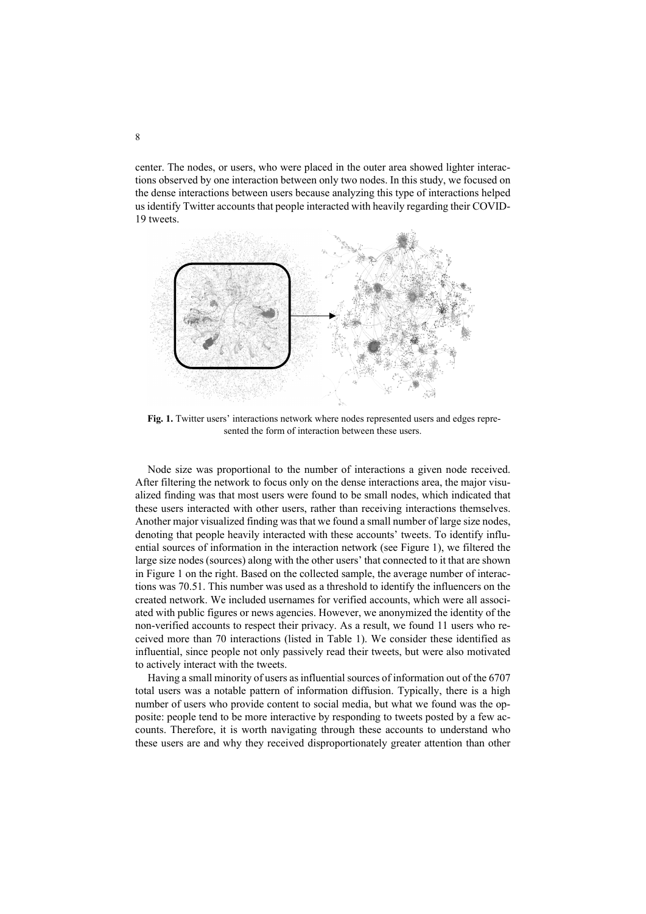center. The nodes, or users, who were placed in the outer area showed lighter interactions observed by one interaction between only two nodes. In this study, we focused on the dense interactions between users because analyzing this type of interactions helped us identify Twitter accounts that people interacted with heavily regarding their COVID-19 tweets.



<span id="page-7-0"></span>Fig. 1. Twitter users' interactions network where nodes represented users and edges represented the form of interaction between these users.

Node size was proportional to the number of interactions a given node received. After filtering the network to focus only on the dense interactions area, the major visualized finding was that most users were found to be small nodes, which indicated that these users interacted with other users, rather than receiving interactions themselves. Another major visualized finding was that we found a small number of large size nodes, denoting that people heavily interacted with these accounts' tweets. To identify influential sources of information in the interaction network (see [Figure 1\)](#page-7-0), we filtered the large size nodes (sources) along with the other users' that connected to it that are shown in Figure 1 on the right. Based on the collected sample, the average number of interactions was 70.51. This number was used as a threshold to identify the influencers on the created network. We included usernames for verified accounts, which were all associated with public figures or news agencies. However, we anonymized the identity of the non-verified accounts to respect their privacy. As a result, we found 11 users who received more than 70 interactions (listed in [Table 1\)](#page-8-0). We consider these identified as influential, since people not only passively read their tweets, but were also motivated to actively interact with the tweets.

Having a small minority of users as influential sources of information out of the 6707 total users was a notable pattern of information diffusion. Typically, there is a high number of users who provide content to social media, but what we found was the opposite: people tend to be more interactive by responding to tweets posted by a few accounts. Therefore, it is worth navigating through these accounts to understand who these users are and why they received disproportionately greater attention than other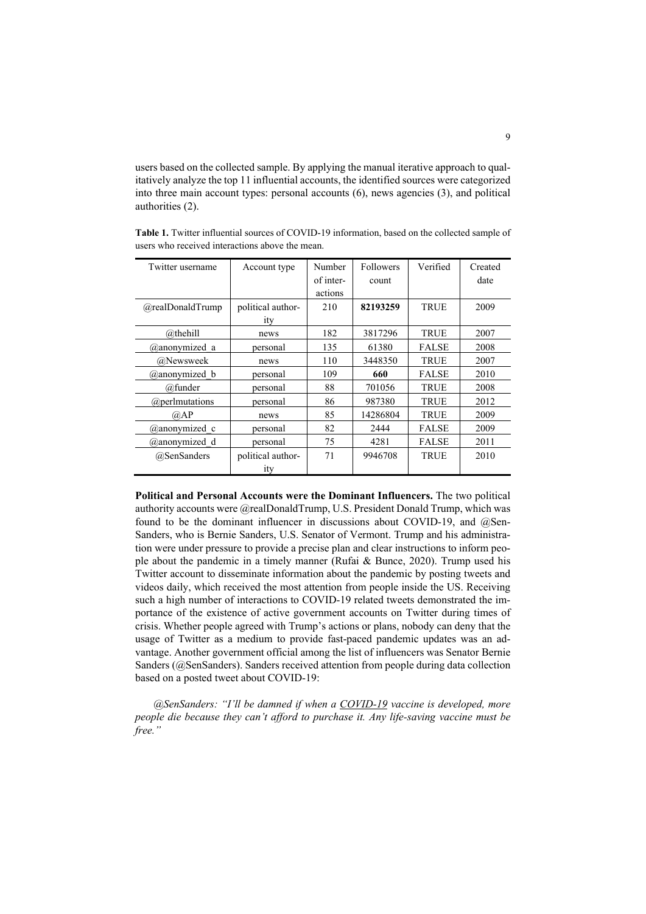users based on the collected sample. By applying the manual iterative approach to qualitatively analyze the top 11 influential accounts, the identified sources were categorized into three main account types: personal accounts (6), news agencies (3), and political authorities (2).

| Twitter username | Account type      | Number    | <b>Followers</b> | Verified     | Created |
|------------------|-------------------|-----------|------------------|--------------|---------|
|                  |                   | of inter- | count            |              | date    |
|                  |                   | actions   |                  |              |         |
| @realDonaldTrump | political author- | 210       | 82193259         | <b>TRUE</b>  | 2009    |
|                  | ity               |           |                  |              |         |
| @thehill         | news              | 182       | 3817296          | <b>TRUE</b>  | 2007    |
| @anonymized a    | personal          | 135       | 61380            | <b>FALSE</b> | 2008    |
| @Newsweek        | news              | 110       | 3448350          | <b>TRUE</b>  | 2007    |
| @anonymized b    | personal          | 109       | 660              | <b>FALSE</b> | 2010    |
| @funder          | personal          | 88        | 701056           | <b>TRUE</b>  | 2008    |
| @perlmutations   | personal          | 86        | 987380           | <b>TRUE</b>  | 2012    |
| $@$ AP           | news              | 85        | 14286804         | <b>TRUE</b>  | 2009    |
| @anonymized c    | personal          | 82        | 2444             | <b>FALSE</b> | 2009    |
| @anonymized d    | personal          | 75        | 4281             | <b>FALSE</b> | 2011    |
| @SenSanders      | political author- | 71        | 9946708          | <b>TRUE</b>  | 2010    |
|                  | ity               |           |                  |              |         |

<span id="page-8-0"></span>**Table 1.** Twitter influential sources of COVID-19 information, based on the collected sample of users who received interactions above the mean.

**Political and Personal Accounts were the Dominant Influencers.** The two political authority accounts were @realDonaldTrump, U.S. President Donald Trump, which was found to be the dominant influencer in discussions about COVID-19, and @Sen-Sanders, who is Bernie Sanders, U.S. Senator of Vermont. Trump and his administration were under pressure to provide a precise plan and clear instructions to inform people about the pandemic in a timely manner (Rufai & Bunce, 2020). Trump used his Twitter account to disseminate information about the pandemic by posting tweets and videos daily, which received the most attention from people inside the US. Receiving such a high number of interactions to COVID-19 related tweets demonstrated the importance of the existence of active government accounts on Twitter during times of crisis. Whether people agreed with Trump's actions or plans, nobody can deny that the usage of Twitter as a medium to provide fast-paced pandemic updates was an advantage. Another government official among the list of influencers was Senator Bernie Sanders (@SenSanders). Sanders received attention from people during data collection based on a posted tweet about COVID-19:

*@SenSanders: "I'll be damned if when a COVID-19 vaccine is developed, more people die because they can't afford to purchase it. Any life-saving vaccine must be free."*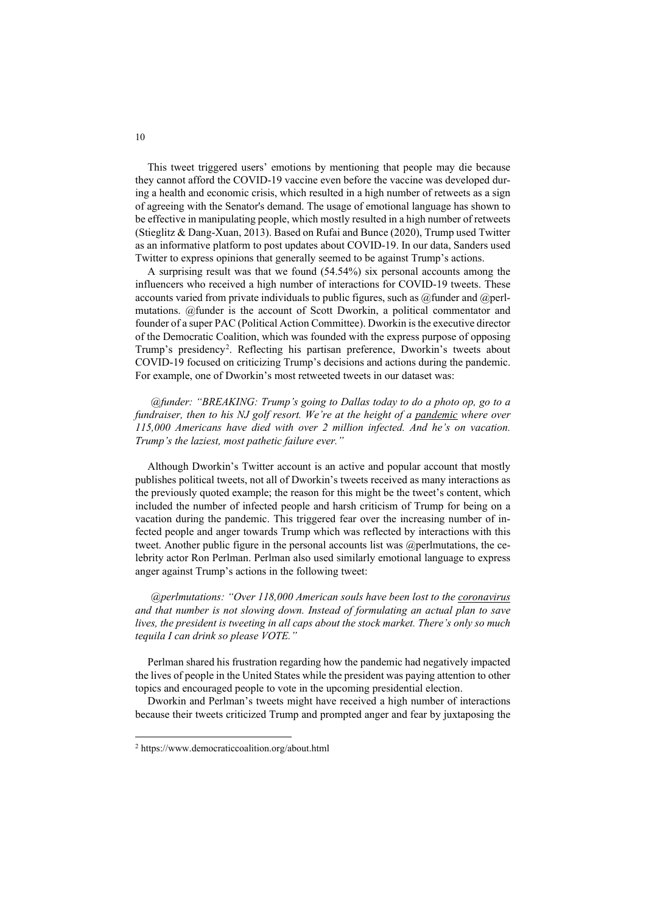This tweet triggered users' emotions by mentioning that people may die because they cannot afford the COVID-19 vaccine even before the vaccine was developed during a health and economic crisis, which resulted in a high number of retweets as a sign of agreeing with the Senator's demand. The usage of emotional language has shown to be effective in manipulating people, which mostly resulted in a high number of retweets (Stieglitz & Dang-Xuan, 2013). Based on Rufai and Bunce (2020), Trump used Twitter as an informative platform to post updates about COVID-19. In our data, Sanders used Twitter to express opinions that generally seemed to be against Trump's actions.

A surprising result was that we found (54.54%) six personal accounts among the influencers who received a high number of interactions for COVID-19 tweets. These accounts varied from private individuals to public figures, such as @funder and @perlmutations. @funder is the account of Scott Dworkin, a political commentator and founder of a super PAC (Political Action Committee). Dworkin is the executive director of the Democratic Coalition, which was founded with the express purpose of opposing Trump's presidency<sup>[2](#page-9-0)</sup>. Reflecting his partisan preference, Dworkin's tweets about COVID-19 focused on criticizing Trump's decisions and actions during the pandemic. For example, one of Dworkin's most retweeted tweets in our dataset was:

*@funder: "BREAKING: Trump's going to Dallas today to do a photo op, go to a fundraiser, then to his NJ golf resort. We're at the height of a pandemic where over 115,000 Americans have died with over 2 million infected. And he's on vacation. Trump's the laziest, most pathetic failure ever."*

Although Dworkin's Twitter account is an active and popular account that mostly publishes political tweets, not all of Dworkin's tweets received as many interactions as the previously quoted example; the reason for this might be the tweet's content, which included the number of infected people and harsh criticism of Trump for being on a vacation during the pandemic. This triggered fear over the increasing number of infected people and anger towards Trump which was reflected by interactions with this tweet. Another public figure in the personal accounts list was @perlmutations, the celebrity actor Ron Perlman. Perlman also used similarly emotional language to express anger against Trump's actions in the following tweet:

*@perlmutations: "Over 118,000 American souls have been lost to the coronavirus and that number is not slowing down. Instead of formulating an actual plan to save lives, the president is tweeting in all caps about the stock market. There's only so much tequila I can drink so please VOTE."*

Perlman shared his frustration regarding how the pandemic had negatively impacted the lives of people in the United States while the president was paying attention to other topics and encouraged people to vote in the upcoming presidential election.

Dworkin and Perlman's tweets might have received a high number of interactions because their tweets criticized Trump and prompted anger and fear by juxtaposing the

<span id="page-9-0"></span><sup>2</sup> https://www.democraticcoalition.org/about.html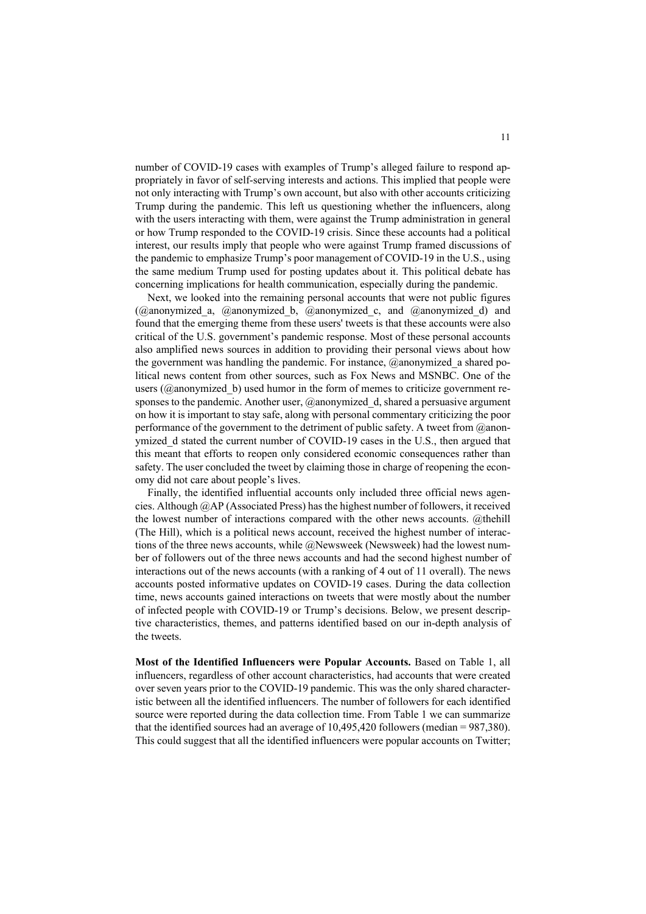number of COVID-19 cases with examples of Trump's alleged failure to respond appropriately in favor of self-serving interests and actions. This implied that people were not only interacting with Trump's own account, but also with other accounts criticizing Trump during the pandemic. This left us questioning whether the influencers, along with the users interacting with them, were against the Trump administration in general or how Trump responded to the COVID-19 crisis. Since these accounts had a political interest, our results imply that people who were against Trump framed discussions of the pandemic to emphasize Trump's poor management of COVID-19 in the U.S., using the same medium Trump used for posting updates about it. This political debate has concerning implications for health communication, especially during the pandemic.

Next, we looked into the remaining personal accounts that were not public figures (@anonymized\_a, @anonymized\_b, @anonymized\_c, and @anonymized\_d) and found that the emerging theme from these users' tweets is that these accounts were also critical of the U.S. government's pandemic response. Most of these personal accounts also amplified news sources in addition to providing their personal views about how the government was handling the pandemic. For instance,  $@$  anonymized a shared political news content from other sources, such as Fox News and MSNBC. One of the users ( $@$ anonymized b) used humor in the form of memes to criticize government responses to the pandemic. Another user,  $@$ anonymized d, shared a persuasive argument on how it is important to stay safe, along with personal commentary criticizing the poor performance of the government to the detriment of public safety. A tweet from @anonymized d stated the current number of COVID-19 cases in the U.S., then argued that this meant that efforts to reopen only considered economic consequences rather than safety. The user concluded the tweet by claiming those in charge of reopening the economy did not care about people's lives.

Finally, the identified influential accounts only included three official news agencies. Although @AP (Associated Press) has the highest number of followers, it received the lowest number of interactions compared with the other news accounts. @thehill (The Hill), which is a political news account, received the highest number of interactions of the three news accounts, while @Newsweek (Newsweek) had the lowest number of followers out of the three news accounts and had the second highest number of interactions out of the news accounts (with a ranking of 4 out of 11 overall). The news accounts posted informative updates on COVID-19 cases. During the data collection time, news accounts gained interactions on tweets that were mostly about the number of infected people with COVID-19 or Trump's decisions. Below, we present descriptive characteristics, themes, and patterns identified based on our in-depth analysis of the tweets.

**Most of the Identified Influencers were Popular Accounts.** Based on [Table 1,](#page-8-0) all influencers, regardless of other account characteristics, had accounts that were created over seven years prior to the COVID-19 pandemic. This was the only shared characteristic between all the identified influencers. The number of followers for each identified source were reported during the data collection time. From Table 1 we can summarize that the identified sources had an average of 10,495,420 followers (median = 987,380). This could suggest that all the identified influencers were popular accounts on Twitter;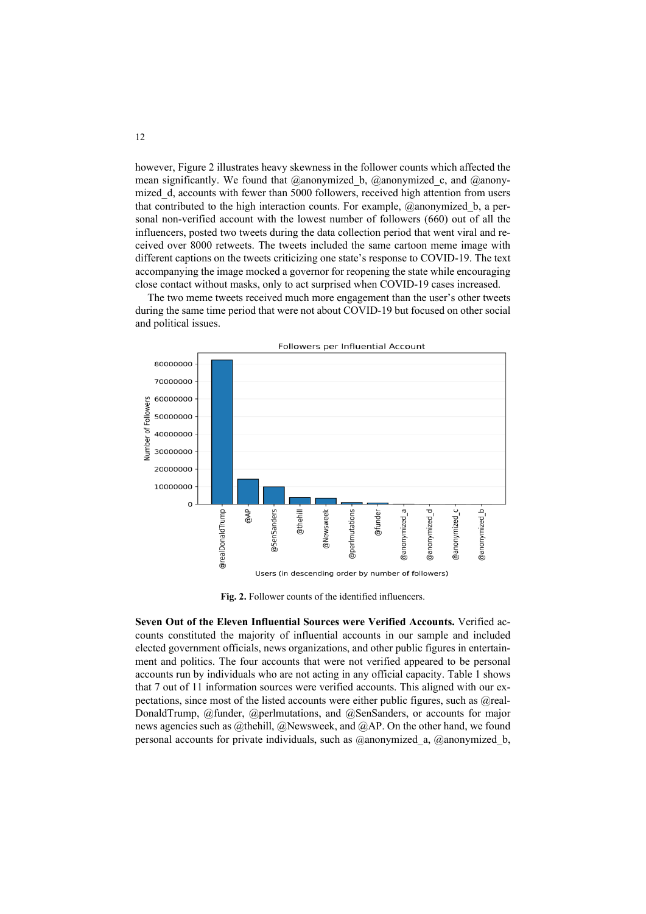however, [Figure 2](#page-11-0) illustrates heavy skewness in the follower counts which affected the mean significantly. We found that  $@$ anonymized b,  $@$ anonymized c, and  $@$ anonymized d, accounts with fewer than 5000 followers, received high attention from users that contributed to the high interaction counts. For example, @anonymized b, a personal non-verified account with the lowest number of followers (660) out of all the influencers, posted two tweets during the data collection period that went viral and received over 8000 retweets. The tweets included the same cartoon meme image with different captions on the tweets criticizing one state's response to COVID-19. The text accompanying the image mocked a governor for reopening the state while encouraging close contact without masks, only to act surprised when COVID-19 cases increased.

The two meme tweets received much more engagement than the user's other tweets during the same time period that were not about COVID-19 but focused on other social and political issues.



Fig. 2. Follower counts of the identified influencers.

<span id="page-11-0"></span>**Seven Out of the Eleven Influential Sources were Verified Accounts.** Verified accounts constituted the majority of influential accounts in our sample and included elected government officials, news organizations, and other public figures in entertainment and politics. The four accounts that were not verified appeared to be personal accounts run by individuals who are not acting in any official capacit[y. Table 1](#page-8-0) shows that 7 out of 11 information sources were verified accounts. This aligned with our expectations, since most of the listed accounts were either public figures, such as  $@real$ -DonaldTrump, @funder, @perlmutations, and @SenSanders, or accounts for major news agencies such as @thehill, @Newsweek, and @AP. On the other hand, we found personal accounts for private individuals, such as @anonymized\_a, @anonymized\_b,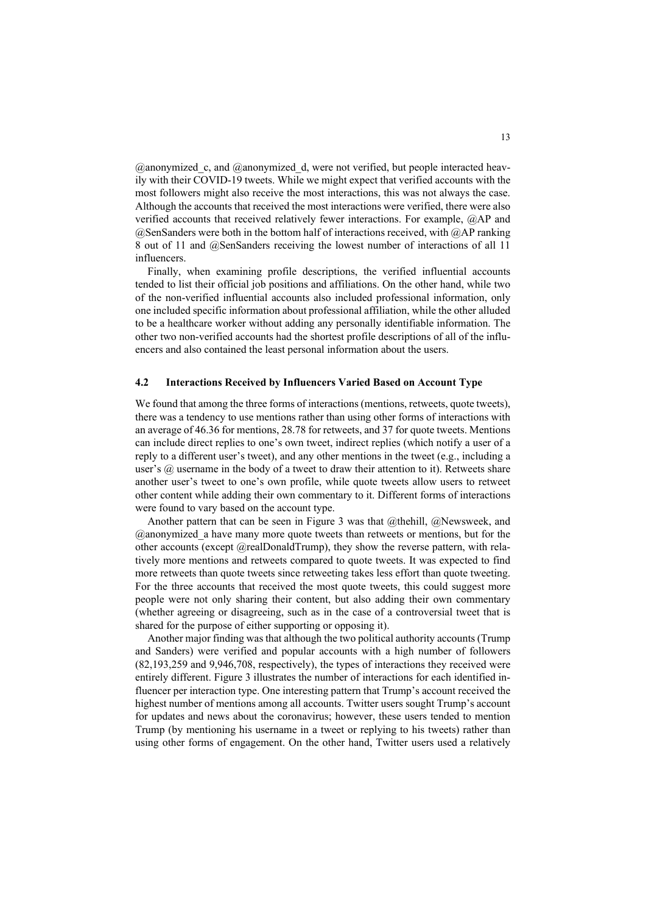$@anonymized$  c, and  $@anonymized$  d, were not verified, but people interacted heavily with their COVID-19 tweets. While we might expect that verified accounts with the most followers might also receive the most interactions, this was not always the case. Although the accounts that received the most interactions were verified, there were also verified accounts that received relatively fewer interactions. For example, @AP and  $@S$ enSanders were both in the bottom half of interactions received, with  $@AP$  ranking 8 out of 11 and @SenSanders receiving the lowest number of interactions of all 11 influencers.

Finally, when examining profile descriptions, the verified influential accounts tended to list their official job positions and affiliations. On the other hand, while two of the non-verified influential accounts also included professional information, only one included specific information about professional affiliation, while the other alluded to be a healthcare worker without adding any personally identifiable information. The other two non-verified accounts had the shortest profile descriptions of all of the influencers and also contained the least personal information about the users.

#### **4.2 Interactions Received by Influencers Varied Based on Account Type**

We found that among the three forms of interactions (mentions, retweets, quote tweets), there was a tendency to use mentions rather than using other forms of interactions with an average of 46.36 for mentions, 28.78 for retweets, and 37 for quote tweets. Mentions can include direct replies to one's own tweet, indirect replies (which notify a user of a reply to a different user's tweet), and any other mentions in the tweet (e.g., including a user's @ username in the body of a tweet to draw their attention to it). Retweets share another user's tweet to one's own profile, while quote tweets allow users to retweet other content while adding their own commentary to it. Different forms of interactions were found to vary based on the account type.

Another pattern that can be seen in [Figure 3](#page-13-0) was that @thehill, @Newsweek, and @anonymized a have many more quote tweets than retweets or mentions, but for the other accounts (except @realDonaldTrump), they show the reverse pattern, with relatively more mentions and retweets compared to quote tweets. It was expected to find more retweets than quote tweets since retweeting takes less effort than quote tweeting. For the three accounts that received the most quote tweets, this could suggest more people were not only sharing their content, but also adding their own commentary (whether agreeing or disagreeing, such as in the case of a controversial tweet that is shared for the purpose of either supporting or opposing it).

Another major finding was that although the two political authority accounts (Trump and Sanders) were verified and popular accounts with a high number of followers (82,193,259 and 9,946,708, respectively), the types of interactions they received were entirely different. Figure 3 illustrates the number of interactions for each identified influencer per interaction type. One interesting pattern that Trump's account received the highest number of mentions among all accounts. Twitter users sought Trump's account for updates and news about the coronavirus; however, these users tended to mention Trump (by mentioning his username in a tweet or replying to his tweets) rather than using other forms of engagement. On the other hand, Twitter users used a relatively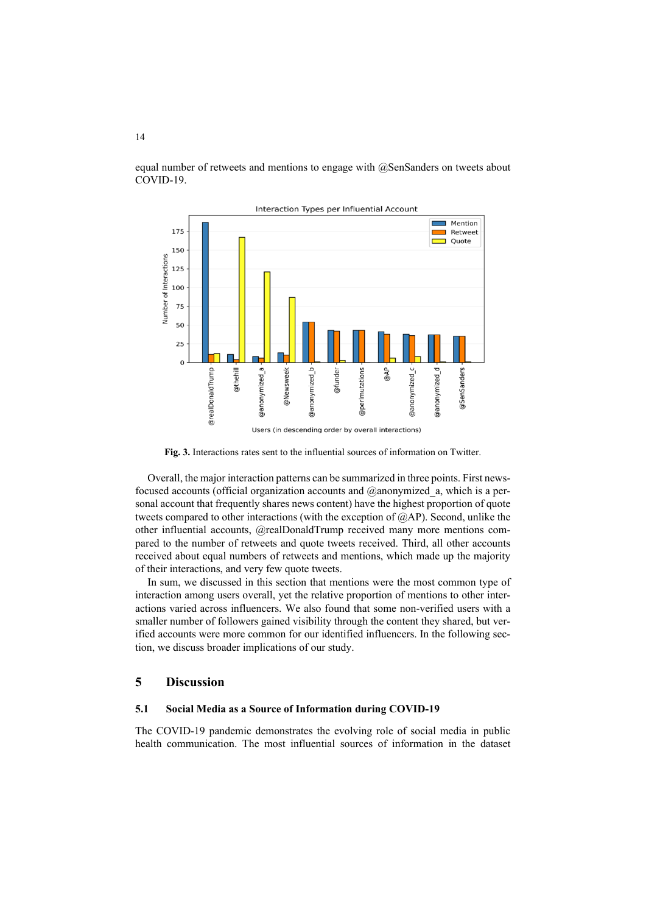

equal number of retweets and mentions to engage with @SenSanders on tweets about COVID-19.

**Fig. 3.** Interactions rates sent to the influential sources of information on Twitter.

<span id="page-13-0"></span>Overall, the major interaction patterns can be summarized in three points. First newsfocused accounts (official organization accounts and  $@$ anonymized a, which is a personal account that frequently shares news content) have the highest proportion of quote tweets compared to other interactions (with the exception of  $(aAP)$ ). Second, unlike the other influential accounts, @realDonaldTrump received many more mentions compared to the number of retweets and quote tweets received. Third, all other accounts received about equal numbers of retweets and mentions, which made up the majority of their interactions, and very few quote tweets.

In sum, we discussed in this section that mentions were the most common type of interaction among users overall, yet the relative proportion of mentions to other interactions varied across influencers. We also found that some non-verified users with a smaller number of followers gained visibility through the content they shared, but verified accounts were more common for our identified influencers. In the following section, we discuss broader implications of our study.

## **5 Discussion**

#### **5.1 Social Media as a Source of Information during COVID-19**

The COVID-19 pandemic demonstrates the evolving role of social media in public health communication. The most influential sources of information in the dataset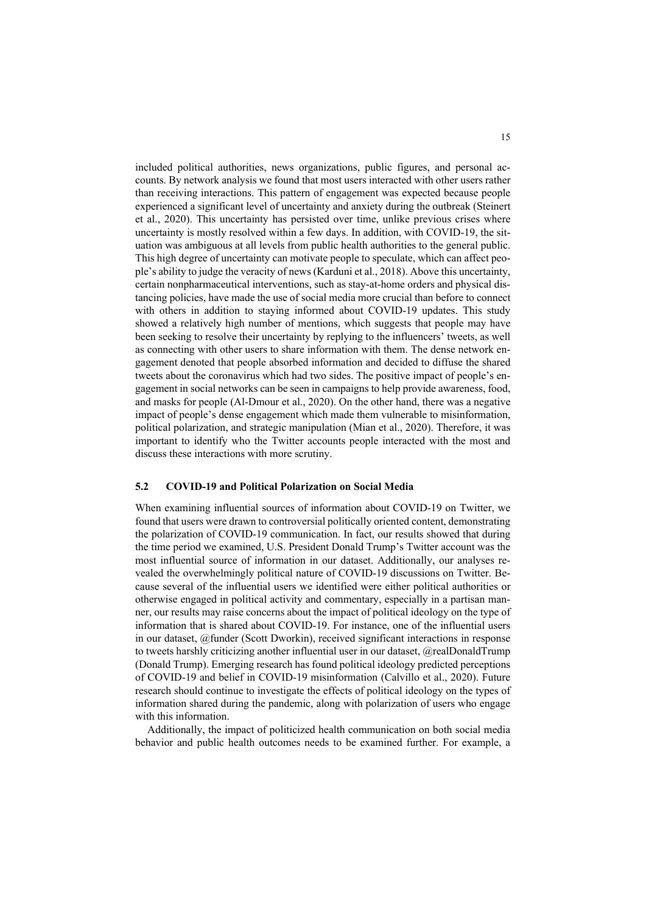included political authorities, news organizations, public figures, and personal accounts. By network analysis we found that most users interacted with other users rather than receiving interactions. This pattern of engagement was expected because people experienced a significant level of uncertainty and anxiety during the outbreak (Steinert et al., 2020). This uncertainty has persisted over time, unlike previous crises where uncertainty is mostly resolved within a few days. In addition, with COVID-19, the situation was ambiguous at all levels from public health authorities to the general public. This high degree of uncertainty can motivate people to speculate, which can affect people's ability to judge the veracity of news (Karduni et al., 2018). Above this uncertainty, certain nonpharmaceutical interventions, such as stay-at-home orders and physical distancing policies, have made the use of social media more crucial than before to connect with others in addition to staying informed about COVID-19 updates. This study showed a relatively high number of mentions, which suggests that people may have been seeking to resolve their uncertainty by replying to the influencers' tweets, as well as connecting with other users to share information with them. The dense network engagement denoted that people absorbed information and decided to diffuse the shared tweets about the coronavirus which had two sides. The positive impact of people's engagement in social networks can be seen in campaigns to help provide awareness, food, and masks for people (Al-Dmour et al., 2020). On the other hand, there was a negative impact of people's dense engagement which made them vulnerable to misinformation, political polarization, and strategic manipulation (Mian et al., 2020). Therefore, it was important to identify who the Twitter accounts people interacted with the most and discuss these interactions with more scrutiny.

### **5.2 COVID-19 and Political Polarization on Social Media**

When examining influential sources of information about COVID-19 on Twitter, we found that users were drawn to controversial politically oriented content, demonstrating the polarization of COVID-19 communication. In fact, our results showed that during the time period we examined, U.S. President Donald Trump's Twitter account was the most influential source of information in our dataset. Additionally, our analyses revealed the overwhelmingly political nature of COVID-19 discussions on Twitter. Because several of the influential users we identified were either political authorities or otherwise engaged in political activity and commentary, especially in a partisan manner, our results may raise concerns about the impact of political ideology on the type of information that is shared about COVID-19. For instance, one of the influential users in our dataset, @funder (Scott Dworkin), received significant interactions in response to tweets harshly criticizing another influential user in our dataset, @realDonaldTrump (Donald Trump). Emerging research has found political ideology predicted perceptions of COVID-19 and belief in COVID-19 misinformation (Calvillo et al., 2020). Future research should continue to investigate the effects of political ideology on the types of information shared during the pandemic, along with polarization of users who engage with this information.

Additionally, the impact of politicized health communication on both social media behavior and public health outcomes needs to be examined further. For example, a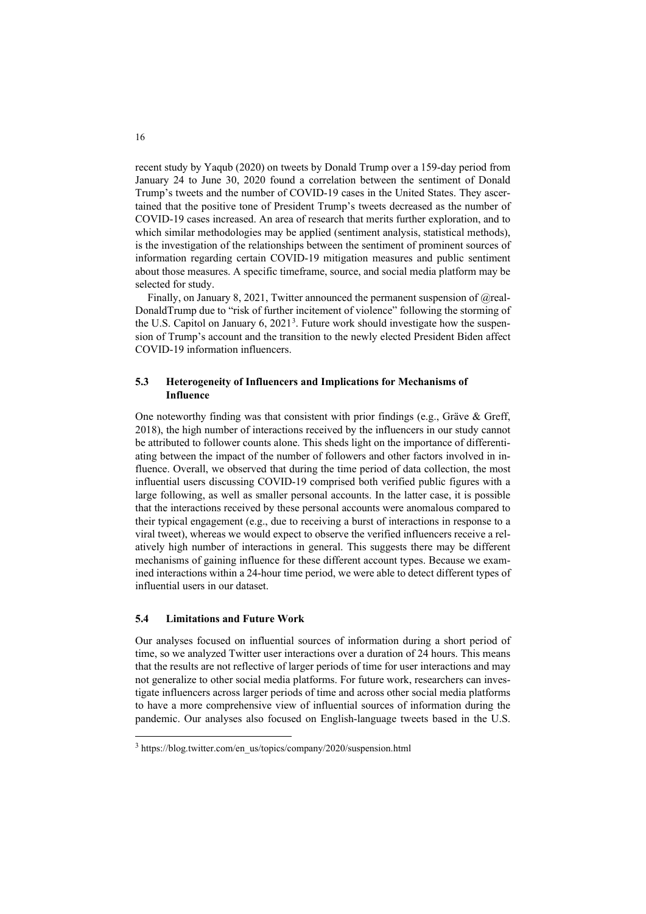recent study by Yaqub (2020) on tweets by Donald Trump over a 159-day period from January 24 to June 30, 2020 found a correlation between the sentiment of Donald Trump's tweets and the number of COVID-19 cases in the United States. They ascertained that the positive tone of President Trump's tweets decreased as the number of COVID-19 cases increased. An area of research that merits further exploration, and to which similar methodologies may be applied (sentiment analysis, statistical methods), is the investigation of the relationships between the sentiment of prominent sources of information regarding certain COVID-19 mitigation measures and public sentiment about those measures. A specific timeframe, source, and social media platform may be selected for study.

Finally, on January 8, 2021, Twitter announced the permanent suspension of @real-DonaldTrump due to "risk of further incitement of violence" following the storming of the U.S. Capitol on January 6, 2021<sup>[3](#page-15-0)</sup>. Future work should investigate how the suspension of Trump's account and the transition to the newly elected President Biden affect COVID-19 information influencers.

#### **5.3 Heterogeneity of Influencers and Implications for Mechanisms of Influence**

One noteworthy finding was that consistent with prior findings (e.g., Gräve & Greff, 2018), the high number of interactions received by the influencers in our study cannot be attributed to follower counts alone. This sheds light on the importance of differentiating between the impact of the number of followers and other factors involved in influence. Overall, we observed that during the time period of data collection, the most influential users discussing COVID-19 comprised both verified public figures with a large following, as well as smaller personal accounts. In the latter case, it is possible that the interactions received by these personal accounts were anomalous compared to their typical engagement (e.g., due to receiving a burst of interactions in response to a viral tweet), whereas we would expect to observe the verified influencers receive a relatively high number of interactions in general. This suggests there may be different mechanisms of gaining influence for these different account types. Because we examined interactions within a 24-hour time period, we were able to detect different types of influential users in our dataset.

#### **5.4 Limitations and Future Work**

Our analyses focused on influential sources of information during a short period of time, so we analyzed Twitter user interactions over a duration of 24 hours. This means that the results are not reflective of larger periods of time for user interactions and may not generalize to other social media platforms. For future work, researchers can investigate influencers across larger periods of time and across other social media platforms to have a more comprehensive view of influential sources of information during the pandemic. Our analyses also focused on English-language tweets based in the U.S.

<span id="page-15-0"></span><sup>&</sup>lt;sup>3</sup> https://blog.twitter.com/en\_us/topics/company/2020/suspension.html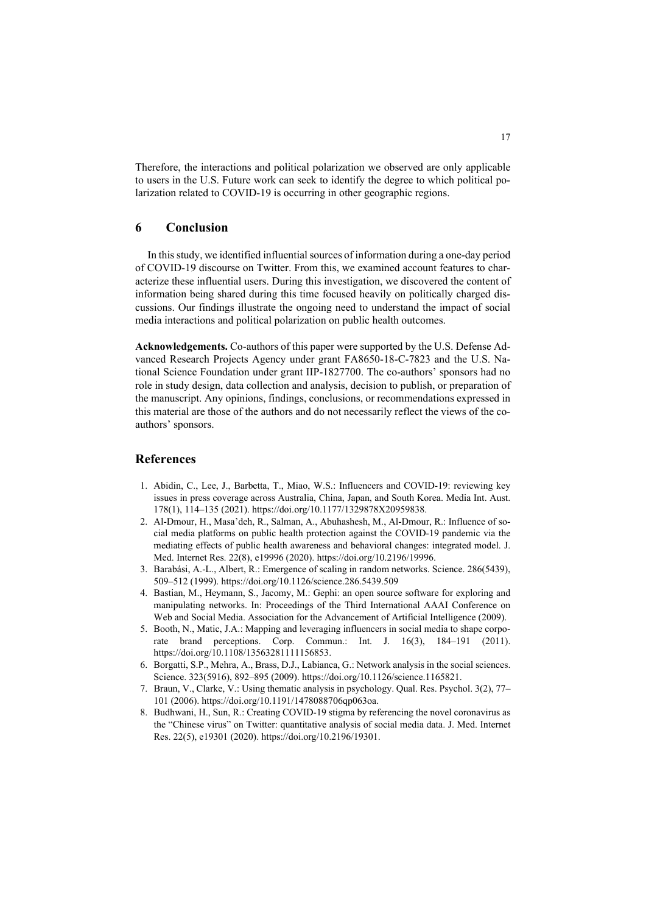Therefore, the interactions and political polarization we observed are only applicable to users in the U.S. Future work can seek to identify the degree to which political polarization related to COVID-19 is occurring in other geographic regions.

## **6 Conclusion**

In this study, we identified influential sources of information during a one-day period of COVID-19 discourse on Twitter. From this, we examined account features to characterize these influential users. During this investigation, we discovered the content of information being shared during this time focused heavily on politically charged discussions. Our findings illustrate the ongoing need to understand the impact of social media interactions and political polarization on public health outcomes.

**Acknowledgements.** Co-authors of this paper were supported by the U.S. Defense Advanced Research Projects Agency under grant FA8650-18-C-7823 and the U.S. National Science Foundation under grant IIP-1827700. The co-authors' sponsors had no role in study design, data collection and analysis, decision to publish, or preparation of the manuscript. Any opinions, findings, conclusions, or recommendations expressed in this material are those of the authors and do not necessarily reflect the views of the coauthors' sponsors.

### **References**

- 1. Abidin, C., Lee, J., Barbetta, T., Miao, W.S.: Influencers and COVID-19: reviewing key issues in press coverage across Australia, China, Japan, and South Korea. Media Int. Aust. 178(1), 114–135 (2021)[. https://doi.org/10.1177/1329878X20959838.](https://doi.org/10.1177/1329878X20959838)
- 2. Al-Dmour, H., Masa'deh, R., Salman, A., Abuhashesh, M., Al-Dmour, R.: Influence of social media platforms on public health protection against the COVID-19 pandemic via the mediating effects of public health awareness and behavioral changes: integrated model. J. Med. Internet Res. 22(8), e19996 (2020). [https://doi.org/10.2196/19996.](https://doi.org/10.2196/19996)
- 3. Barabási, A.-L., Albert, R.: Emergence of scaling in random networks. Science. 286(5439), 509–512 (1999).<https://doi.org/10.1126/science.286.5439.509>
- 4. Bastian, M., Heymann, S., Jacomy, M.: Gephi: an open source software for exploring and manipulating networks. In: Proceedings of the Third International AAAI Conference on Web and Social Media. Association for the Advancement of Artificial Intelligence (2009).
- 5. Booth, N., Matic, J.A.: Mapping and leveraging influencers in social media to shape corporate brand perceptions. Corp. Commun.: Int. J. 16(3), 184–191 (2011). [https://doi.org/10.1108/13563281111156853.](https://doi.org/10.1108/13563281111156853)
- 6. Borgatti, S.P., Mehra, A., Brass, D.J., Labianca, G.: Network analysis in the social sciences. Science. 323(5916), 892–895 (2009)[. https://doi.org/10.1126/science.1165821.](https://doi.org/10.1126/science.1165821)
- 7. Braun, V., Clarke, V.: Using thematic analysis in psychology. Qual. Res. Psychol. 3(2), 77– 101 (2006). [https://doi.org/10.1191/1478088706qp063oa.](https://doi.org/10.1191/1478088706qp063oa)
- 8. Budhwani, H., Sun, R.: Creating COVID-19 stigma by referencing the novel coronavirus as the "Chinese virus" on Twitter: quantitative analysis of social media data. J. Med. Internet Res. 22(5), e19301 (2020). [https://doi.org/10.2196/19301.](https://doi.org/10.2196/19301)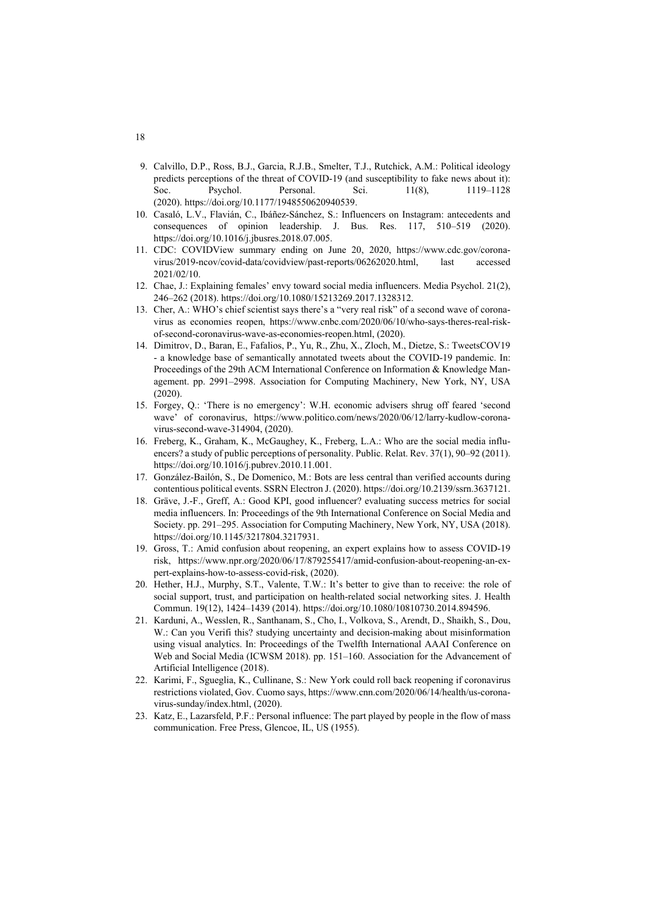- 9. Calvillo, D.P., Ross, B.J., Garcia, R.J.B., Smelter, T.J., Rutchick, A.M.: Political ideology predicts perceptions of the threat of COVID-19 (and susceptibility to fake news about it): Soc. Psychol. Personal. Sci. 11(8), 1119–1128 (2020). [https://doi.org/10.1177/1948550620940539.](https://www.google.com/url?q=https://doi.org/10.1177/1948550620940539&sa=D&ust=1611940231474000&usg=AOvVaw1m5S-IVOkX03k7oLvKlgb4)
- 10. Casaló, L.V., Flavián, C., Ibáñez-Sánchez, S.: Influencers on Instagram: antecedents and consequences of opinion leadership. J. Bus. Res. 117, 510–519 (2020). [https://doi.org/10.1016/j.jbusres.2018.07.005.](https://doi.org/10.1016/j.jbusres.2018.07.005)
- 11. CDC: COVIDView summary ending on June 20, 2020, [https://www.cdc.gov/corona](https://www.cdc.gov/coronavirus/2019-ncov/covid-data/covidview/past-reports/06262020.html)[virus/2019-ncov/covid-data/covidview/past-reports/06262020.html,](https://www.cdc.gov/coronavirus/2019-ncov/covid-data/covidview/past-reports/06262020.html) last accessed 2021/02/10.
- 12. Chae, J.: Explaining females' envy toward social media influencers. Media Psychol. 21(2), 246–262 (2018). [https://doi.org/10.1080/15213269.2017.1328312.](https://doi.org/10.1080/15213269.2017.1328312)
- 13. Cher, A.: WHO's chief scientist says there's a "very real risk" of a second wave of coronavirus as economies reopen, [https://www.cnbc.com/2020/06/10/who-says-theres-real-risk](https://www.cnbc.com/2020/06/10/who-says-theres-real-risk-of-second-coronavirus-wave-as-economies-reopen.html)[of-second-coronavirus-wave-as-economies-reopen.html,](https://www.cnbc.com/2020/06/10/who-says-theres-real-risk-of-second-coronavirus-wave-as-economies-reopen.html) (2020).
- 14. Dimitrov, D., Baran, E., Fafalios, P., Yu, R., Zhu, X., Zloch, M., Dietze, S.: TweetsCOV19 - a knowledge base of semantically annotated tweets about the COVID-19 pandemic. In: Proceedings of the 29th ACM International Conference on Information & Knowledge Management. pp. 2991–2998. Association for Computing Machinery, New York, NY, USA (2020).
- 15. Forgey, Q.: 'There is no emergency': W.H. economic advisers shrug off feared 'second wave' of coronavirus, [https://www.politico.com/news/2020/06/12/larry-kudlow-corona](https://www.politico.com/news/2020/06/12/larry-kudlow-coronavirus-second-wave-314904)[virus-second-wave-314904,](https://www.politico.com/news/2020/06/12/larry-kudlow-coronavirus-second-wave-314904) (2020).
- 16. Freberg, K., Graham, K., McGaughey, K., Freberg, L.A.: Who are the social media influencers? a study of public perceptions of personality. Public. Relat. Rev. 37(1), 90–92 (2011). [https://doi.org/10.1016/j.pubrev.2010.11.001.](https://doi.org/10.1016/j.pubrev.2010.11.001)
- 17. González-Bailón, S., De Domenico, M.: Bots are less central than verified accounts during contentious political events. SSRN Electron J. (2020)[. https://doi.org/10.2139/ssrn.3637121.](https://doi.org/10.2139/ssrn.3637121)
- 18. Gräve, J.-F., Greff, A.: Good KPI, good influencer? evaluating success metrics for social media influencers. In: Proceedings of the 9th International Conference on Social Media and Society. pp. 291–295. Association for Computing Machinery, New York, NY, USA (2018). [https://doi.org/10.1145/3217804.3217931.](https://doi.org/10.1145/3217804.3217931)
- 19. Gross, T.: Amid confusion about reopening, an expert explains how to assess COVID-19 risk, [https://www.npr.org/2020/06/17/879255417/amid-confusion-about-reopening-an-ex](https://www.npr.org/2020/06/17/879255417/amid-confusion-about-reopening-an-expert-explains-how-to-assess-covid-risk)[pert-explains-how-to-assess-covid-risk,](https://www.npr.org/2020/06/17/879255417/amid-confusion-about-reopening-an-expert-explains-how-to-assess-covid-risk) (2020).
- 20. Hether, H.J., Murphy, S.T., Valente, T.W.: It's better to give than to receive: the role of social support, trust, and participation on health-related social networking sites. J. Health Commun. 19(12), 1424–1439 (2014)[. https://doi.org/10.1080/10810730.2014.894596.](https://doi.org/10.1080/10810730.2014.894596)
- 21. Karduni, A., Wesslen, R., Santhanam, S., Cho, I., Volkova, S., Arendt, D., Shaikh, S., Dou, W.: Can you Verifi this? studying uncertainty and decision-making about misinformation using visual analytics. In: Proceedings of the Twelfth International AAAI Conference on Web and Social Media (ICWSM 2018). pp. 151–160. Association for the Advancement of Artificial Intelligence (2018).
- 22. Karimi, F., Sgueglia, K., Cullinane, S.: New York could roll back reopening if coronavirus restrictions violated, Gov. Cuomo says[, https://www.cnn.com/2020/06/14/health/us-corona](https://www.cnn.com/2020/06/14/health/us-coronavirus-sunday/index.html)[virus-sunday/index.html,](https://www.cnn.com/2020/06/14/health/us-coronavirus-sunday/index.html) (2020).
- 23. Katz, E., Lazarsfeld, P.F.: Personal influence: The part played by people in the flow of mass communication. Free Press, Glencoe, IL, US (1955).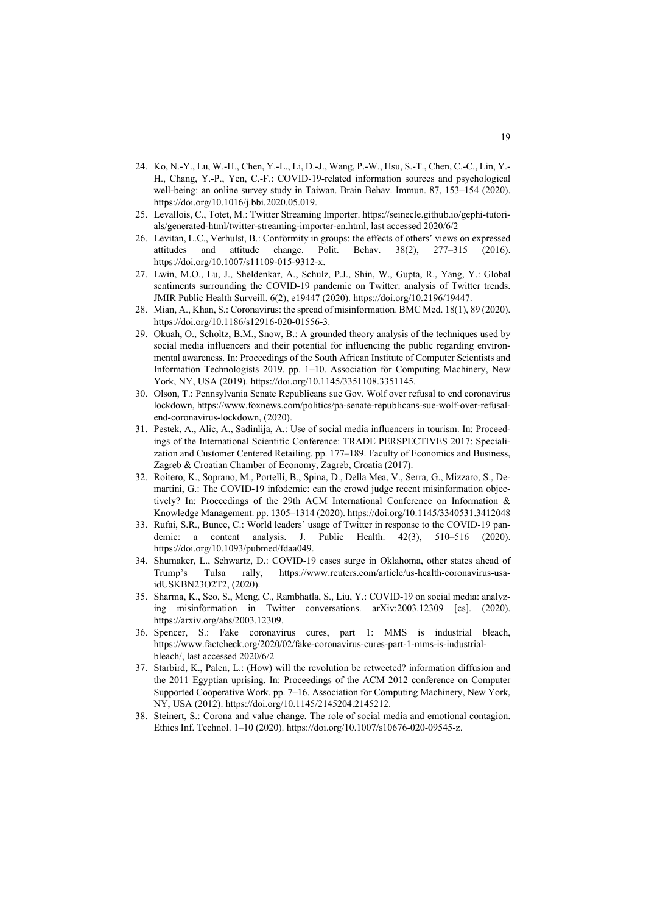- 24. Ko, N.-Y., Lu, W.-H., Chen, Y.-L., Li, D.-J., Wang, P.-W., Hsu, S.-T., Chen, C.-C., Lin, Y.- H., Chang, Y.-P., Yen, C.-F.: COVID-19-related information sources and psychological well-being: an online survey study in Taiwan. Brain Behav. Immun. 87, 153–154 (2020). [https://doi.org/10.1016/j.bbi.2020.05.019.](https://doi.org/10.1016/j.bbi.2020.05.019)
- 25. Levallois, C., Totet, M.: Twitter Streaming Importer[. https://seinecle.github.io/gephi-tutori](https://seinecle.github.io/gephi-tutorials/generated-html/twitter-streaming-importer-en.html)[als/generated-html/twitter-streaming-importer-en.html,](https://seinecle.github.io/gephi-tutorials/generated-html/twitter-streaming-importer-en.html) last accessed 2020/6/2
- 26. Levitan, L.C., Verhulst, B.: Conformity in groups: the effects of others' views on expressed attitudes and attitude change. Polit. Behav. 38(2), 277–315 (2016). [https://doi.org/10.1007/s11109-015-9312-x.](https://doi.org/10.1007/s11109-015-9312-x)
- 27. Lwin, M.O., Lu, J., Sheldenkar, A., Schulz, P.J., Shin, W., Gupta, R., Yang, Y.: Global sentiments surrounding the COVID-19 pandemic on Twitter: analysis of Twitter trends. JMIR Public Health Surveill. 6(2), e19447 (2020)[. https://doi.org/10.2196/19447.](https://doi.org/10.2196/19447)
- 28. Mian, A., Khan, S.: Coronavirus: the spread of misinformation. BMC Med. 18(1), 89 (2020). [https://doi.org/10.1186/s12916-020-01556-3.](https://doi.org/10.1186/s12916-020-01556-3)
- 29. Okuah, O., Scholtz, B.M., Snow, B.: A grounded theory analysis of the techniques used by social media influencers and their potential for influencing the public regarding environmental awareness. In: Proceedings of the South African Institute of Computer Scientists and Information Technologists 2019. pp. 1–10. Association for Computing Machinery, New York, NY, USA (2019). [https://doi.org/10.1145/3351108.3351145.](https://doi.org/10.1145/3351108.3351145)
- 30. Olson, T.: Pennsylvania Senate Republicans sue Gov. Wolf over refusal to end coronavirus lockdown[, https://www.foxnews.com/politics/pa-senate-republicans-sue-wolf-over-refusal](https://www.foxnews.com/politics/pa-senate-republicans-sue-wolf-over-refusal-end-coronavirus-lockdown)[end-coronavirus-lockdown,](https://www.foxnews.com/politics/pa-senate-republicans-sue-wolf-over-refusal-end-coronavirus-lockdown) (2020).
- 31. Pestek, A., Alic, A., Sadinlija, A.: Use of social media influencers in tourism. In: Proceedings of the International Scientific Conference: TRADE PERSPECTIVES 2017: Specialization and Customer Centered Retailing. pp. 177–189. Faculty of Economics and Business, Zagreb & Croatian Chamber of Economy, Zagreb, Croatia (2017).
- 32. Roitero, K., Soprano, M., Portelli, B., Spina, D., Della Mea, V., Serra, G., Mizzaro, S., Demartini, G.: The COVID-19 infodemic: can the crowd judge recent misinformation objectively? In: Proceedings of the 29th ACM International Conference on Information & Knowledge Management. pp. 1305–1314 (2020)[. https://doi.org/10.1145/3340531.3412048](https://doi.org/10.1145/3340531.3412048)
- 33. Rufai, S.R., Bunce, C.: World leaders' usage of Twitter in response to the COVID-19 pandemic: a content analysis. J. Public Health. 42(3), 510–516 (2020). [https://doi.org/10.1093/pubmed/fdaa049.](https://doi.org/10.1093/pubmed/fdaa049)
- 34. Shumaker, L., Schwartz, D.: COVID-19 cases surge in Oklahoma, other states ahead of Trump's Tulsa rally, [https://www.reuters.com/article/us-health-coronavirus-usa](https://www.reuters.com/article/us-health-coronavirus-usa-idUSKBN23O2T2)[idUSKBN23O2T2,](https://www.reuters.com/article/us-health-coronavirus-usa-idUSKBN23O2T2) (2020).
- 35. Sharma, K., Seo, S., Meng, C., Rambhatla, S., Liu, Y.: COVID-19 on social media: analyzing misinformation in Twitter conversations. arXiv:2003.12309 [cs]. (2020). [https://arxiv.org/abs/2003.12309.](https://arxiv.org/abs/2003.12309)
- 36. Spencer, S.: Fake coronavirus cures, part 1: MMS is industrial bleach, [https://www.factcheck.org/2020/02/fake-coronavirus-cures-part-1-mms-is-industrial](https://www.factcheck.org/2020/02/fake-coronavirus-cures-part-1-mms-is-industrial-bleach/)[bleach/,](https://www.factcheck.org/2020/02/fake-coronavirus-cures-part-1-mms-is-industrial-bleach/) last accessed 2020/6/2
- 37. Starbird, K., Palen, L.: (How) will the revolution be retweeted? information diffusion and the 2011 Egyptian uprising. In: Proceedings of the ACM 2012 conference on Computer Supported Cooperative Work. pp. 7–16. Association for Computing Machinery, New York, NY, USA (2012). [https://doi.org/10.1145/2145204.2145212.](https://doi.org/10.1145/2145204.2145212)
- 38. Steinert, S.: Corona and value change. The role of social media and emotional contagion. Ethics Inf. Technol. 1–10 (2020). [https://doi.org/10.1007/s10676-020-09545-z.](https://doi.org/10.1007/s10676-020-09545-z)